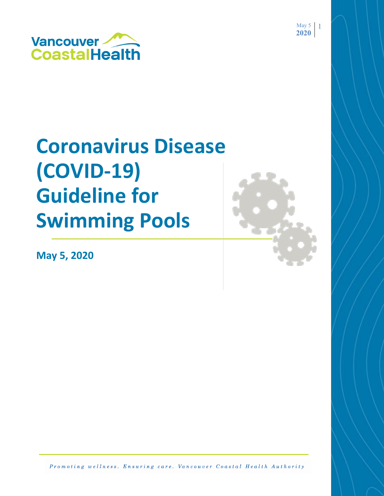

# **Coronavirus Disease (COVID-19) Guideline for Swimming Pools**

**May 5, 2020**



May  $5 \quad 1$ **2020**

Promoting wellness. Ensuring care. Vancouver Coastal Health Authority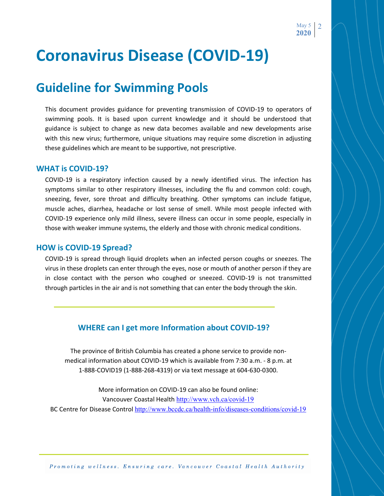## **Coronavirus Disease (COVID-19)**

### **Guideline for Swimming Pools**

This document provides guidance for preventing transmission of COVID-19 to operators of swimming pools. It is based upon current knowledge and it should be understood that guidance is subject to change as new data becomes available and new developments arise with this new virus; furthermore, unique situations may require some discretion in adjusting these guidelines which are meant to be supportive, not prescriptive.

### **WHAT is COVID-19?**

COVID-19 is a respiratory infection caused by a newly identified virus. The infection has symptoms similar to other respiratory illnesses, including the flu and common cold: cough, sneezing, fever, sore throat and difficulty breathing. Other symptoms can include fatigue, muscle aches, diarrhea, headache or lost sense of smell. While most people infected with COVID-19 experience only mild illness, severe illness can occur in some people, especially in those with weaker immune systems, the elderly and those with chronic medical conditions.

#### **HOW is COVID-19 Spread?**

COVID-19 is spread through liquid droplets when an infected person coughs or sneezes. The virus in these droplets can enter through the eyes, nose or mouth of another person if they are in close contact with the person who coughed or sneezed. COVID-19 is not transmitted through particles in the air and is not something that can enter the body through the skin.

### **WHERE can I get more Information about COVID-19?**

The province of British Columbia has created a phone service to provide nonmedical information about COVID-19 which is available from 7:30 a.m. - 8 p.m. at 1-888-COVID19 (1-888-268-4319) or via text message at 604-630-0300.

More information on COVID-19 can also be found online: Vancouver Coastal Health <http://www.vch.ca/covid-19> BC Centre for [Disease Control](file:///C:/Users/awhalen/AppData/Local/Microsoft/Windows/Temporary%20Internet%20Files/Content.Outlook/N6J3XAQZ/BC%20Centre%20for%20Disease%20Control) <http://www.bccdc.ca/health-info/diseases-conditions/covid-19>

Promoting wellness. Ensuring care, Vancouver Coastal Health Authority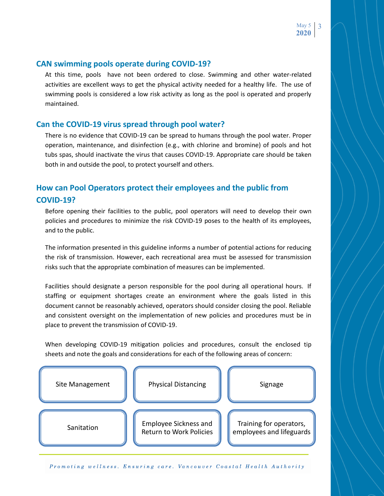### **CAN swimming pools operate during COVID-19?**

At this time, pools have not been ordered to close. Swimming and other water-related activities are excellent ways to get the physical activity needed for a healthy life. The use of swimming pools is considered a low risk activity as long as the pool is operated and properly maintained.

### **Can the COVID-19 virus spread through pool water?**

There is no evidence that COVID-19 can be spread to humans through the pool water. Proper operation, maintenance, and disinfection (e.g., with chlorine and bromine) of pools and hot tubs spas, should inactivate the virus that causes COVID-19. Appropriate care should be taken both in and outside the pool, to protect yourself and others.

### **How can Pool Operators protect their employees and the public from COVID-19?**

Before opening their facilities to the public, pool operators will need to develop their own policies and procedures to minimize the risk COVID-19 poses to the health of its employees, and to the public.

The information presented in this guideline informs a number of potential actions for reducing the risk of transmission. However, each recreational area must be assessed for transmission risks such that the appropriate combination of measures can be implemented.

Facilities should designate a person responsible for the pool during all operational hours. If staffing or equipment shortages create an environment where the goals listed in this document cannot be reasonably achieved, operators should consider closing the pool. Reliable and consistent oversight on the implementation of new policies and procedures must be in place to prevent the transmission of COVID-19.

When developing COVID-19 mitigation policies and procedures, consult the enclosed tip sheets and note the goals and considerations for each of the following areas of concern:



Promoting wellness. Ensuring care, Vancouver Coastal Health Authority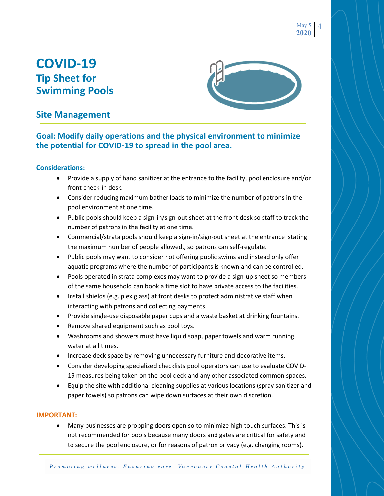May 5 **2020** 4

### **COVID-19 Tip Sheet for Swimming Pools**



### **Site Management**

### **Goal: Modify daily operations and the physical environment to minimize the potential for COVID-19 to spread in the pool area.**

### **Considerations:**

- Provide a supply of hand sanitizer at the entrance to the facility, pool enclosure and/or front check-in desk.
- Consider reducing maximum bather loads to minimize the number of patrons in the pool environment at one time.
- Public pools should keep a sign-in/sign-out sheet at the front desk so staff to track the number of patrons in the facility at one time.
- Commercial/strata pools should keep a sign-in/sign-out sheet at the entrance stating the maximum number of people allowed,, so patrons can self-regulate.
- Public pools may want to consider not offering public swims and instead only offer aquatic programs where the number of participants is known and can be controlled.
- Pools operated in strata complexes may want to provide a sign-up sheet so members of the same household can book a time slot to have private access to the facilities.
- Install shields (e.g. plexiglass) at front desks to protect administrative staff when interacting with patrons and collecting payments.
- Provide single-use disposable paper cups and a waste basket at drinking fountains.
- Remove shared equipment such as pool toys.
- Washrooms and showers must have liquid soap, paper towels and warm running water at all times.
- Increase deck space by removing unnecessary furniture and decorative items.
- Consider developing specialized checklists pool operators can use to evaluate COVID-19 measures being taken on the pool deck and any other associated common spaces.
- Equip the site with additional cleaning supplies at various locations (spray sanitizer and paper towels) so patrons can wipe down surfaces at their own discretion.

### **IMPORTANT:**

 Many businesses are propping doors open so to minimize high touch surfaces. This is not recommended for pools because many doors and gates are critical for safety and to secure the pool enclosure, or for reasons of patron privacy (e.g. changing rooms).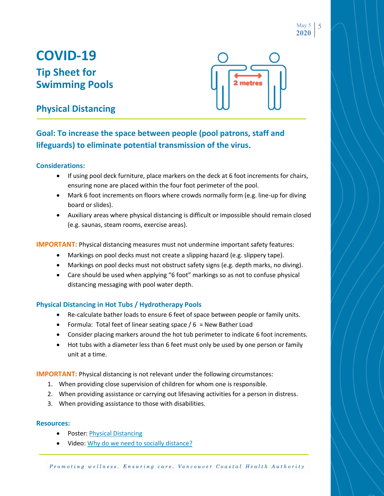## **COVID-19 Tip Sheet for Swimming Pools**



### **Physical Distancing**

### **Goal: To increase the space between people (pool patrons, staff and lifeguards) to eliminate potential transmission of the virus**.

### **Considerations:**

- If using pool deck furniture, place markers on the deck at 6 foot increments for chairs, ensuring none are placed within the four foot perimeter of the pool.
- Mark 6 foot increments on floors where crowds normally form (e.g. line-up for diving board or slides).
- Auxiliary areas where physical distancing is difficult or impossible should remain closed (e.g. saunas, steam rooms, exercise areas).

**IMPORTANT:** Physical distancing measures must not undermine important safety features:

- Markings on pool decks must not create a slipping hazard (e.g. slippery tape).
- Markings on pool decks must not obstruct safety signs (e.g. depth marks, no diving).
- Care should be used when applying "6 foot" markings so as not to confuse physical distancing messaging with pool water depth.

### **Physical Distancing in Hot Tubs / Hydrotherapy Pools**

- Re-calculate bather loads to ensure 6 feet of space between people or family units.
- Formula: Total feet of linear seating space  $/ 6$  = New Bather Load
- Consider placing markers around the hot tub perimeter to indicate 6 foot increments.
- Hot tubs with a diameter less than 6 feet must only be used by one person or family unit at a time.

**IMPORTANT:** Physical distancing is not relevant under the following circumstances:

- 1. When providing close supervision of children for whom one is responsible.
- 2. When providing assistance or carrying out lifesaving activities for a person in distress.
- 3. When providing assistance to those with disabilities.

- Poster: [Physical Distancing](http://www.bccdc.ca/Health-Professionals-Site/Documents/COVID19_PhysicalDistancingPoster.pdf)
- Video: [Why do we need to socially distance?](https://www.youtube.com/watch?v=Mv1znfxAo1M&list=PLkETa5i0ewgVtWjfEDDrrA7C8h2VWuwFm&index=5&t=0s)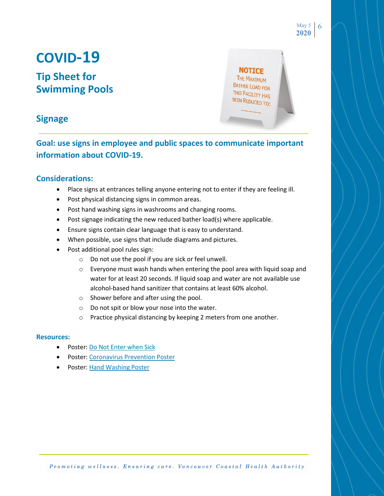## **COVID-19**

### **Tip Sheet for Swimming Pools**

**NOTICE** THE MAXIMUM BATHER LOAD FOR THIS FACILITY HAS BEEN REDUCED TO: May 5 **2020**

6

### **Signage**

**Goal: use signs in employee and public spaces to communicate important information about COVID-19.**

### **Considerations:**

- Place signs at entrances telling anyone entering not to enter if they are feeling ill.
- Post physical distancing signs in common areas.
- Post hand washing signs in washrooms and changing rooms.
- Post signage indicating the new reduced bather load(s) where applicable.
- Ensure signs contain clear language that is easy to understand.
- When possible, use signs that include diagrams and pictures.
- Post additional pool rules sign:
	- o Do not use the pool if you are sick or feel unwell.
	- o Everyone must wash hands when entering the pool area with liquid soap and water for at least 20 seconds. If liquid soap and water are not available use alcohol-based hand sanitizer that contains at least 60% alcohol.
	- o Shower before and after using the pool.
	- o Do not spit or blow your nose into the water.
	- o Practice physical distancing by keeping 2 meters from one another.

- Poster: [Do Not Enter when Sick](http://www.vch.ca/Documents/FSE%20COVID%20Poster.pdf)
- **Poster: [Coronavirus Prevention Poster](http://www.bccdc.ca/Health-Info-Site/Documents/COVID19-Prevention.pdf)**
- Poster: [Hand Washing Poster](http://www.vch.ca/Documents/COVID19-Docs_Handwash.pdf)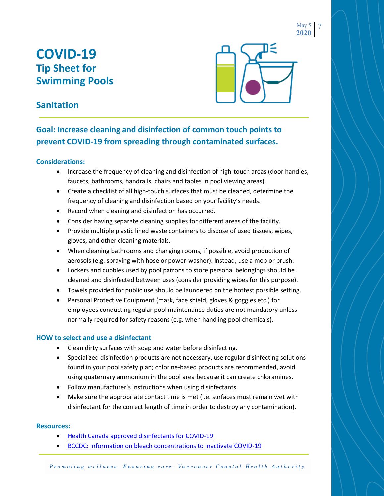## **COVID-19 Tip Sheet for Swimming Pools**



May 5 **2020**

7

### **Sanitation**

### **Goal: Increase cleaning and disinfection of common touch points to prevent COVID-19 from spreading through contaminated surfaces.**

### **Considerations:**

- Increase the frequency of cleaning and disinfection of high-touch areas (door handles, faucets, bathrooms, handrails, chairs and tables in pool viewing areas).
- Create a checklist of all high-touch surfaces that must be cleaned, determine the frequency of cleaning and disinfection based on your facility's needs.
- Record when cleaning and disinfection has occurred.
- Consider having separate cleaning supplies for different areas of the facility.
- Provide multiple plastic lined waste containers to dispose of used tissues, wipes, gloves, and other cleaning materials.
- When cleaning bathrooms and changing rooms, if possible, avoid production of aerosols (e.g. spraying with hose or power-washer). Instead, use a mop or brush.
- Lockers and cubbies used by pool patrons to store personal belongings should be cleaned and disinfected between uses (consider providing wipes for this purpose).
- Towels provided for public use should be laundered on the hottest possible setting.
- Personal Protective Equipment (mask, face shield, gloves & goggles etc.) for employees conducting regular pool maintenance duties are not mandatory unless normally required for safety reasons (e.g. when handling pool chemicals).

### **HOW to select and use a disinfectant**

- Clean dirty surfaces with soap and water before disinfecting.
- Specialized disinfection products are not necessary, use regular disinfecting solutions found in your pool safety plan; chlorine-based products are recommended, avoid using quaternary ammonium in the pool area because it can create chloramines.
- Follow manufacturer's instructions when using disinfectants.
- Make sure the appropriate contact time is met (i.e. surfaces must remain wet with disinfectant for the correct length of time in order to destroy any contamination).

- [Health Canada approved disinfectants for COVID-19](https://www.canada.ca/en/health-canada/services/drugs-health-products/disinfectants/covid-19/list.html)
- [BCCDC: Information on bleach concentrations to inactivate COVID-19](http://www.bccdc.ca/health-info/diseases-conditions/covid-19/prevention-risks/cleaning-and-disinfecting)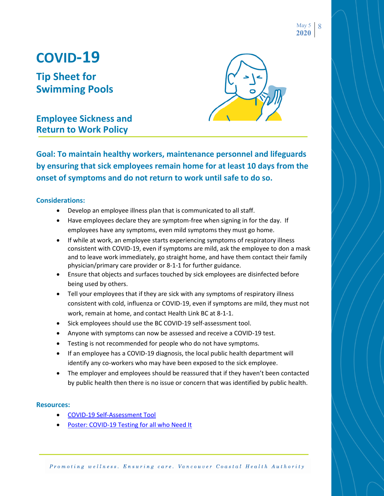May 5 **2020** 8

## **COVID-19**

**Tip Sheet for Swimming Pools**

**Employee Sickness and Return to Work Policy**

**Goal: To maintain healthy workers, maintenance personnel and lifeguards by ensuring that sick employees remain home for at least 10 days from the onset of symptoms and do not return to work until safe to do so.**

### **Considerations:**

- Develop an employee illness plan that is communicated to all staff.
- Have employees declare they are symptom-free when signing in for the day. If employees have any symptoms, even mild symptoms they must go home.
- If while at work, an employee starts experiencing symptoms of respiratory illness consistent with COVID-19, even if symptoms are mild, ask the employee to don a mask and to leave work immediately, go straight home, and have them contact their family physician/primary care provider or 8-1-1 for further guidance.
- Ensure that objects and surfaces touched by sick employees are disinfected before being used by others.
- Tell your employees that if they are sick with any symptoms of respiratory illness consistent with cold, influenza or COVID-19, even if symptoms are mild, they must not work, remain at home, and contact Health Link BC at 8-1-1.
- Sick employees should use the BC COVID-19 self-assessment tool.
- Anyone with symptoms can now be assessed and receive a COVID-19 test.
- Testing is not recommended for people who do not have symptoms.
- If an employee has a COVID-19 diagnosis, the local public health department will identify any co-workers who may have been exposed to the sick employee.
- The employer and employees should be reassured that if they haven't been contacted by public health then there is no issue or concern that was identified by public health.

#### **Resources:**

- [COVID-19 Self-Assessment Tool](https://bc.thrive.health/)
- [Poster: COVID-19 Testing for all who Need It](http://www.vch.ca/Documents/GPU_UPCC_Testing_Poster.pdf)

Promoting wellness. Ensuring care. Vancouver Coastal Health Authority